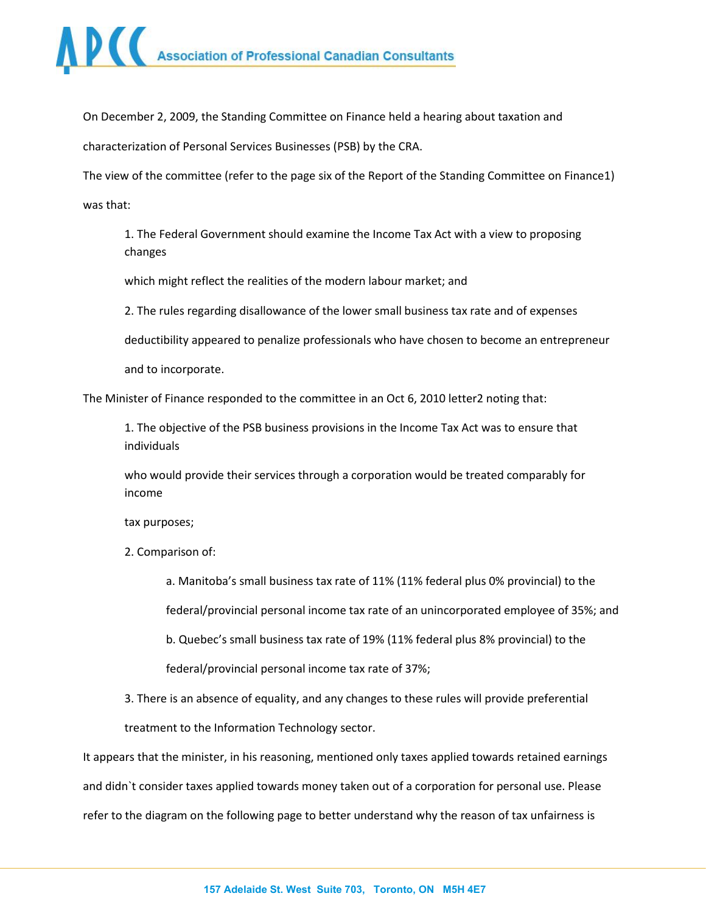

On December 2, 2009, the Standing Committee on Finance held a hearing about taxation and

characterization of Personal Services Businesses (PSB) by the CRA.

The view of the committee (refer to the page six of the Report of the Standing Committee on Finance1)

was that:

1. The Federal Government should examine the Income Tax Act with a view to proposing changes

which might reflect the realities of the modern labour market; and

2. The rules regarding disallowance of the lower small business tax rate and of expenses

deductibility appeared to penalize professionals who have chosen to become an entrepreneur

and to incorporate.

The Minister of Finance responded to the committee in an Oct 6, 2010 letter2 noting that:

1. The objective of the PSB business provisions in the Income Tax Act was to ensure that individuals

who would provide their services through a corporation would be treated comparably for income

tax purposes;

2. Comparison of:

a. Manitoba's small business tax rate of 11% (11% federal plus 0% provincial) to the

federal/provincial personal income tax rate of an unincorporated employee of 35%; and

b. Quebec's small business tax rate of 19% (11% federal plus 8% provincial) to the federal/provincial personal income tax rate of 37%;

3. There is an absence of equality, and any changes to these rules will provide preferential treatment to the Information Technology sector.

It appears that the minister, in his reasoning, mentioned only taxes applied towards retained earnings and didn`t consider taxes applied towards money taken out of a corporation for personal use. Please refer to the diagram on the following page to better understand why the reason of tax unfairness is